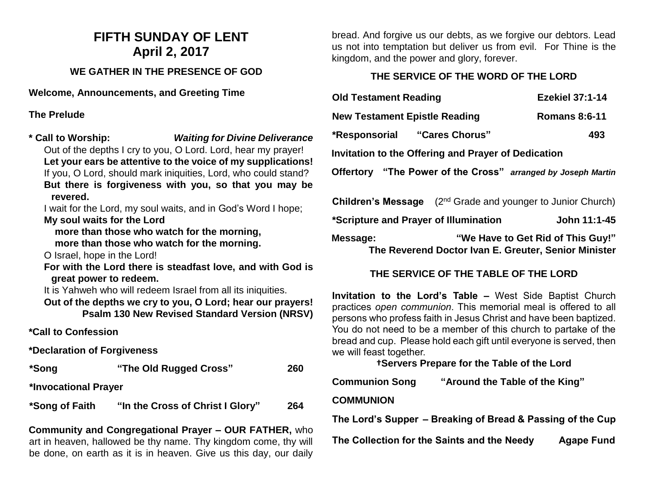# **FIFTH SUNDAY OF LENT April 2, 2017**

## **WE GATHER IN THE PRESENCE OF GOD**

**Welcome, Announcements, and Greeting Time** 

**The Prelude**

**\* Call to Worship:** *Waiting for Divine Deliverance* Out of the depths I cry to you, O Lord. Lord, hear my prayer! **Let your ears be attentive to the voice of my supplications!** If you, O Lord, should mark iniquities, Lord, who could stand? **But there is forgiveness with you, so that you may be revered.**

I wait for the Lord, my soul waits, and in God's Word I hope; **My soul waits for the Lord**

 **more than those who watch for the morning, more than those who watch for the morning.**

O Israel, hope in the Lord!

**For with the Lord there is steadfast love, and with God is great power to redeem.**

It is Yahweh who will redeem Israel from all its iniquities.

**Out of the depths we cry to you, O Lord; hear our prayers! Psalm 130 New Revised Standard Version (NRSV)**

**\*Call to Confession**

**\*Declaration of Forgiveness**

**\*Song "The Old Rugged Cross" 260 \*Invocational Prayer \*Song of Faith "In the Cross of Christ I Glory" 264** 

**Community and Congregational Prayer – OUR FATHER,** who art in heaven, hallowed be thy name. Thy kingdom come, thy will be done, on earth as it is in heaven. Give us this day, our daily bread. And forgive us our debts, as we forgive our debtors. Lead us not into temptation but deliver us from evil. For Thine is the kingdom, and the power and glory, forever.

### **THE SERVICE OF THE WORD OF THE LORD**

| <b>Old Testament Reading</b>                                 |                                                                         | <b>Ezekiel 37:1-14</b> |  |
|--------------------------------------------------------------|-------------------------------------------------------------------------|------------------------|--|
| <b>New Testament Epistle Reading</b>                         |                                                                         | <b>Romans 8:6-11</b>   |  |
| *Responsorial "Cares Chorus"                                 |                                                                         | 493                    |  |
| Invitation to the Offering and Prayer of Dedication          |                                                                         |                        |  |
| Offertory "The Power of the Cross" arranged by Joseph Martin |                                                                         |                        |  |
|                                                              | <b>Children's Message</b> $(2^{nd}$ Grade and younger to Junior Church) |                        |  |

**\*Scripture and Prayer of Illumination John 11:1-45**

**Message: "We Have to Get Rid of This Guy!" The Reverend Doctor Ivan E. Greuter, Senior Minister**

## **THE SERVICE OF THE TABLE OF THE LORD**

**Invitation to the Lord's Table –** West Side Baptist Church practices *open communion*. This memorial meal is offered to all persons who profess faith in Jesus Christ and have been baptized. You do not need to be a member of this church to partake of the bread and cup. Please hold each gift until everyone is served, then we will feast together.

**†Servers Prepare for the Table of the Lord**

| <b>Communion Song</b> | "Around the Table of the King" |
|-----------------------|--------------------------------|
|                       |                                |

### **COMMUNION**

**The Lord's Supper – Breaking of Bread & Passing of the Cup**

**The Collection for the Saints and the Needy Agape Fund**